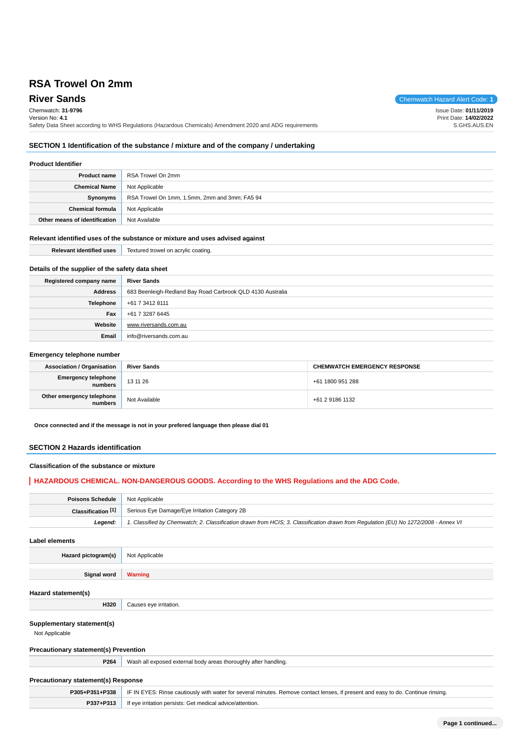**River Sands** Chemwatch Hazard Alert Code: 1 Chemwatch: **31-9796** Version No: **4.1** Safety Data Sheet according to WHS Regulations (Hazardous Chemicals) Amendment 2020 and ADG requirements Issue Date: **01/11/2019** Print Date: **14/02/2022** S.GHS.AUS.EN

## **SECTION 1 Identification of the substance / mixture and of the company / undertaking**

## **Product Identifier**

| <b>Product name</b>           | RSA Trowel On 2mm                             |
|-------------------------------|-----------------------------------------------|
| <b>Chemical Name</b>          | Not Applicable                                |
| Synonyms                      | RSA Trowel On 1mm, 1.5mm, 2mm and 3mm; FA5 94 |
| <b>Chemical formula</b>       | Not Applicable                                |
| Other means of identification | Not Available                                 |

#### **Relevant identified uses of the substance or mixture and uses advised against**

| <b>DAL</b> | ۷۵۷<br>$\sim$<br>Trov<br>.<br>. |
|------------|---------------------------------|
|            |                                 |

## **Details of the supplier of the safety data sheet**

| Registered company name | <b>River Sands</b>                                         |
|-------------------------|------------------------------------------------------------|
| <b>Address</b>          | 683 Beenleigh-Redland Bay Road Carbrook QLD 4130 Australia |
| Telephone               | +61 7 3412 8111                                            |
| Fax                     | +61 7 3287 6445                                            |
| Website                 | www.riversands.com.au                                      |
| Email                   | info@riversands.com.au                                     |

#### **Emergency telephone number**

| <b>Association / Organisation</b>    | <b>River Sands</b> | <b>CHEMWATCH EMERGENCY RESPONSE</b> |
|--------------------------------------|--------------------|-------------------------------------|
| Emergency telephone<br>numbers       | 13 11 26           | +61 1800 951 288                    |
| Other emergency telephone<br>numbers | Not Available      | +61 2 9186 1132                     |

**Once connected and if the message is not in your prefered language then please dial 01**

#### **SECTION 2 Hazards identification**

#### **Classification of the substance or mixture**

## **HAZARDOUS CHEMICAL. NON-DANGEROUS GOODS. According to the WHS Regulations and the ADG Code.**

| <b>Poisons Schedule</b> Not Applicable |                                                                                                                                     |
|----------------------------------------|-------------------------------------------------------------------------------------------------------------------------------------|
|                                        | <b>Classification [1]</b> Serious Eye Damage/Eye Irritation Category 2B                                                             |
| Leaend:                                | 1. Classified by Chemwatch; 2. Classification drawn from HCIS; 3. Classification drawn from Requlation (EU) No 1272/2008 - Annex VI |

**Label elements**

**Hazard pictogram(s)** Not Applicable

**Signal word Warning**

#### **Hazard statement(s)**

#### **Supplementary statement(s)**

Not Applicable

#### **Precautionary statement(s) Prevention**

**H320** Causes eye irritation.

**P264** Wash all exposed external body areas thoroughly after handling.

## **Precautionary statement(s) Response**

|           | P305+P351+P338   IF IN EYES: Rinse cautiously with water for several minutes. Remove contact lenses, if present and easy to do. Continue rinsing. |
|-----------|---------------------------------------------------------------------------------------------------------------------------------------------------|
| P337+P313 | If eye irritation persists: Get medical advice/attention.                                                                                         |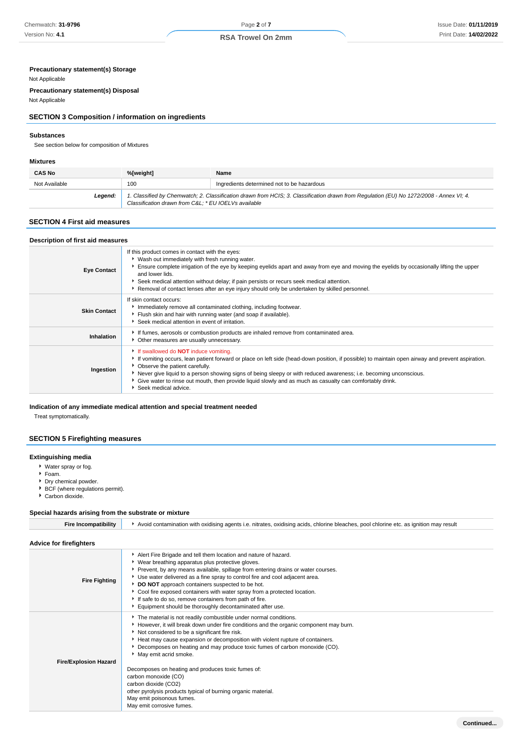## **Precautionary statement(s) Storage**

#### Not Applicable

**Precautionary statement(s) Disposal**

## Not Applicable

## **SECTION 3 Composition / information on ingredients**

#### **Substances**

See section below for composition of Mixtures

#### **Mixtures**

| <b>CAS No</b> | %[weight]                                           | Name                                                                                                                                    |
|---------------|-----------------------------------------------------|-----------------------------------------------------------------------------------------------------------------------------------------|
| Not Available | 100                                                 | Ingredients determined not to be hazardous                                                                                              |
| Legend:       | Classification drawn from C&L * EU IOELVs available | 1. Classified by Chemwatch; 2. Classification drawn from HCIS; 3. Classification drawn from Regulation (EU) No 1272/2008 - Annex VI; 4. |

#### **SECTION 4 First aid measures**

| Description of first aid measures |                                                                                                                                                                                                                                                                                                                                                                                                                                                                                                |
|-----------------------------------|------------------------------------------------------------------------------------------------------------------------------------------------------------------------------------------------------------------------------------------------------------------------------------------------------------------------------------------------------------------------------------------------------------------------------------------------------------------------------------------------|
| <b>Eye Contact</b>                | If this product comes in contact with the eyes:<br>▶ Wash out immediately with fresh running water.<br>Ensure complete irrigation of the eye by keeping eyelids apart and away from eye and moving the eyelids by occasionally lifting the upper<br>and lower lids.<br>Seek medical attention without delay; if pain persists or recurs seek medical attention.<br>Removal of contact lenses after an eye injury should only be undertaken by skilled personnel.                               |
| <b>Skin Contact</b>               | If skin contact occurs:<br>Immediately remove all contaminated clothing, including footwear.<br>Fiush skin and hair with running water (and soap if available).<br>Seek medical attention in event of irritation.                                                                                                                                                                                                                                                                              |
| Inhalation                        | If fumes, aerosols or combustion products are inhaled remove from contaminated area.<br>• Other measures are usually unnecessary.                                                                                                                                                                                                                                                                                                                                                              |
| Ingestion                         | If swallowed do <b>NOT</b> induce vomiting.<br>If vomiting occurs, lean patient forward or place on left side (head-down position, if possible) to maintain open airway and prevent aspiration.<br>• Observe the patient carefully.<br>▶ Never give liquid to a person showing signs of being sleepy or with reduced awareness; i.e. becoming unconscious.<br>Give water to rinse out mouth, then provide liquid slowly and as much as casualty can comfortably drink.<br>Seek medical advice. |

## **Indication of any immediate medical attention and special treatment needed**

Treat symptomatically.

## **SECTION 5 Firefighting measures**

#### **Extinguishing media**

- Water spray or fog.
- Foam.
- Dry chemical powder.
- BCF (where regulations permit).
- ► Carbon dioxide.

## **Special hazards arising from the substrate or mixture**

| <b>Fire Incompatibility</b>    | Avoid contamination with oxidising agents i.e. nitrates, oxidising acids, chlorine bleaches, pool chlorine etc. as ignition may result                                                                                                                                                                                                                                                                                                                                                                                                                                                                                                |  |
|--------------------------------|---------------------------------------------------------------------------------------------------------------------------------------------------------------------------------------------------------------------------------------------------------------------------------------------------------------------------------------------------------------------------------------------------------------------------------------------------------------------------------------------------------------------------------------------------------------------------------------------------------------------------------------|--|
| <b>Advice for firefighters</b> |                                                                                                                                                                                                                                                                                                                                                                                                                                                                                                                                                                                                                                       |  |
| <b>Fire Fighting</b>           | Alert Fire Brigade and tell them location and nature of hazard.<br>▶ Wear breathing apparatus plus protective gloves.<br>Prevent, by any means available, spillage from entering drains or water courses.<br>Use water delivered as a fine spray to control fire and cool adjacent area.<br>DO NOT approach containers suspected to be hot.<br>Cool fire exposed containers with water spray from a protected location.<br>If safe to do so, remove containers from path of fire.<br>Equipment should be thoroughly decontaminated after use.                                                                                         |  |
| <b>Fire/Explosion Hazard</b>   | The material is not readily combustible under normal conditions.<br>► However, it will break down under fire conditions and the organic component may burn.<br>Not considered to be a significant fire risk.<br>Heat may cause expansion or decomposition with violent rupture of containers.<br>Decomposes on heating and may produce toxic fumes of carbon monoxide (CO).<br>May emit acrid smoke.<br>Decomposes on heating and produces toxic fumes of:<br>carbon monoxide (CO)<br>carbon dioxide (CO2)<br>other pyrolysis products typical of burning organic material.<br>May emit poisonous fumes.<br>May emit corrosive fumes. |  |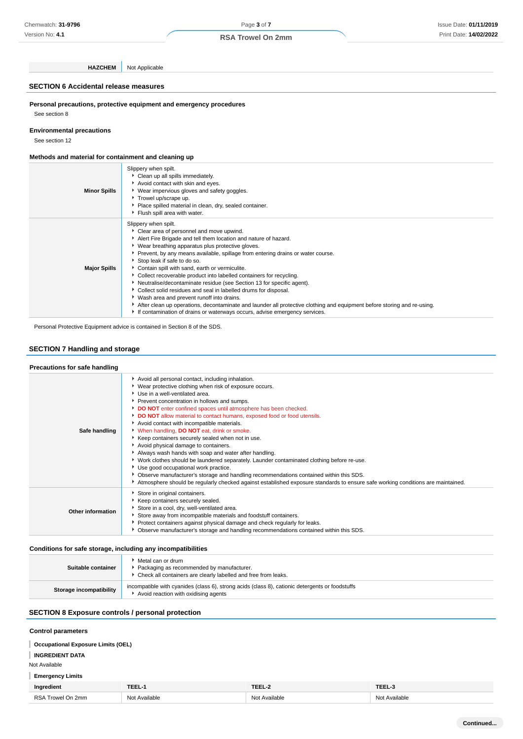## Page **3** of **7 RSA Trowel On 2mm**

**HAZCHEM** Not Applicable

#### **SECTION 6 Accidental release measures**

**Personal precautions, protective equipment and emergency procedures** See section 8

#### **Environmental precautions**

See section 12

#### **Methods and material for containment and cleaning up**

| <b>Minor Spills</b> | Slippery when spilt.<br>Clean up all spills immediately.<br>Avoid contact with skin and eyes.<br>▶ Wear impervious gloves and safety goggles.<br>Trowel up/scrape up.<br>Place spilled material in clean, dry, sealed container.<br>Flush spill area with water.                                                                                                                                                                                                                                                                                                                                                                                                                                                                                                                                                                           |
|---------------------|--------------------------------------------------------------------------------------------------------------------------------------------------------------------------------------------------------------------------------------------------------------------------------------------------------------------------------------------------------------------------------------------------------------------------------------------------------------------------------------------------------------------------------------------------------------------------------------------------------------------------------------------------------------------------------------------------------------------------------------------------------------------------------------------------------------------------------------------|
| <b>Major Spills</b> | Slippery when spilt.<br>Clear area of personnel and move upwind.<br>Alert Fire Brigade and tell them location and nature of hazard.<br>▶ Wear breathing apparatus plus protective gloves.<br>▶ Prevent, by any means available, spillage from entering drains or water course.<br>Stop leak if safe to do so.<br>Contain spill with sand, earth or vermiculite.<br>▶ Collect recoverable product into labelled containers for recycling.<br>Neutralise/decontaminate residue (see Section 13 for specific agent).<br>Collect solid residues and seal in labelled drums for disposal.<br>Wash area and prevent runoff into drains.<br>After clean up operations, decontaminate and launder all protective clothing and equipment before storing and re-using.<br>If contamination of drains or waterways occurs, advise emergency services. |

Personal Protective Equipment advice is contained in Section 8 of the SDS.

#### **SECTION 7 Handling and storage**

| Precautions for safe handling |                                                                                                                                                                                                                                                                                                                                                                                                                                                                                                                                                                                                                                                                                                                                                                                                                                                                                                                                                                         |
|-------------------------------|-------------------------------------------------------------------------------------------------------------------------------------------------------------------------------------------------------------------------------------------------------------------------------------------------------------------------------------------------------------------------------------------------------------------------------------------------------------------------------------------------------------------------------------------------------------------------------------------------------------------------------------------------------------------------------------------------------------------------------------------------------------------------------------------------------------------------------------------------------------------------------------------------------------------------------------------------------------------------|
| Safe handling                 | Avoid all personal contact, including inhalation.<br>▶ Wear protective clothing when risk of exposure occurs.<br>▶ Use in a well-ventilated area.<br>Prevent concentration in hollows and sumps.<br>DO NOT enter confined spaces until atmosphere has been checked.<br>DO NOT allow material to contact humans, exposed food or food utensils.<br>Avoid contact with incompatible materials.<br>V When handling, DO NOT eat, drink or smoke.<br>Keep containers securely sealed when not in use.<br>Avoid physical damage to containers.<br>Always wash hands with soap and water after handling.<br>▶ Work clothes should be laundered separately. Launder contaminated clothing before re-use.<br>Use good occupational work practice.<br>▶ Observe manufacturer's storage and handling recommendations contained within this SDS.<br>Atmosphere should be regularly checked against established exposure standards to ensure safe working conditions are maintained. |
| Other information             | Store in original containers.<br>Keep containers securely sealed.<br>Store in a cool, dry, well-ventilated area.<br>Store away from incompatible materials and foodstuff containers.<br>▶ Protect containers against physical damage and check regularly for leaks.<br>• Observe manufacturer's storage and handling recommendations contained within this SDS.                                                                                                                                                                                                                                                                                                                                                                                                                                                                                                                                                                                                         |

#### **Conditions for safe storage, including any incompatibilities**

| Suitable container      | Metal can or drum<br>Packaging as recommended by manufacturer.<br>Check all containers are clearly labelled and free from leaks.        |
|-------------------------|-----------------------------------------------------------------------------------------------------------------------------------------|
| Storage incompatibility | incompatible with cyanides (class 6), strong acids (class 8), cationic detergents or foodstuffs<br>Avoid reaction with oxidising agents |

## **SECTION 8 Exposure controls / personal protection**

#### **Control parameters**

**Occupational Exposure Limits (OEL)**

## **INGREDIENT DATA**

Not Available

## **Emergency Limits**

| Ingredient        | TEEL-         | TEEL-2        | TEEL-3        |
|-------------------|---------------|---------------|---------------|
| RSA Trowel On 2mm | Not Available | Not Available | Not Available |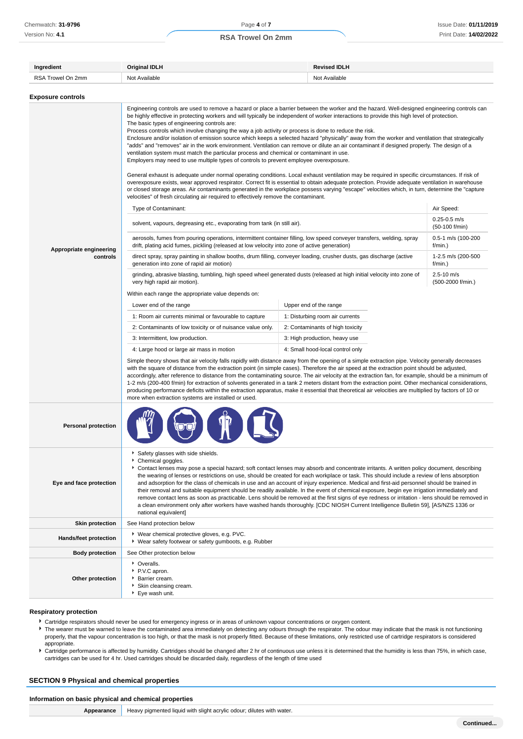| Ingredient                 | <b>Revised IDLH</b><br>Original IDLH                                                                                                                                                                                                                                                                                                                                                                                                                                                                                                                                                                                                                                                                                                                                                                                                                                                                                                                                                                                                                                                                                                                                                                                                                                                                                                                                                                                                                                                             |                                 |                                  |                                     |  |
|----------------------------|--------------------------------------------------------------------------------------------------------------------------------------------------------------------------------------------------------------------------------------------------------------------------------------------------------------------------------------------------------------------------------------------------------------------------------------------------------------------------------------------------------------------------------------------------------------------------------------------------------------------------------------------------------------------------------------------------------------------------------------------------------------------------------------------------------------------------------------------------------------------------------------------------------------------------------------------------------------------------------------------------------------------------------------------------------------------------------------------------------------------------------------------------------------------------------------------------------------------------------------------------------------------------------------------------------------------------------------------------------------------------------------------------------------------------------------------------------------------------------------------------|---------------------------------|----------------------------------|-------------------------------------|--|
| RSA Trowel On 2mm          | Not Available<br>Not Available                                                                                                                                                                                                                                                                                                                                                                                                                                                                                                                                                                                                                                                                                                                                                                                                                                                                                                                                                                                                                                                                                                                                                                                                                                                                                                                                                                                                                                                                   |                                 |                                  |                                     |  |
| <b>Exposure controls</b>   |                                                                                                                                                                                                                                                                                                                                                                                                                                                                                                                                                                                                                                                                                                                                                                                                                                                                                                                                                                                                                                                                                                                                                                                                                                                                                                                                                                                                                                                                                                  |                                 |                                  |                                     |  |
|                            | Engineering controls are used to remove a hazard or place a barrier between the worker and the hazard. Well-designed engineering controls can<br>be highly effective in protecting workers and will typically be independent of worker interactions to provide this high level of protection.<br>The basic types of engineering controls are:<br>Process controls which involve changing the way a job activity or process is done to reduce the risk.<br>Enclosure and/or isolation of emission source which keeps a selected hazard "physically" away from the worker and ventilation that strategically<br>"adds" and "removes" air in the work environment. Ventilation can remove or dilute an air contaminant if designed properly. The design of a<br>ventilation system must match the particular process and chemical or contaminant in use.<br>Employers may need to use multiple types of controls to prevent employee overexposure.<br>General exhaust is adequate under normal operating conditions. Local exhaust ventilation may be required in specific circumstances. If risk of<br>overexposure exists, wear approved respirator. Correct fit is essential to obtain adequate protection. Provide adequate ventilation in warehouse<br>or closed storage areas. Air contaminants generated in the workplace possess varying "escape" velocities which, in turn, determine the "capture<br>velocities" of fresh circulating air required to effectively remove the contaminant. |                                 |                                  |                                     |  |
|                            | Type of Contaminant:                                                                                                                                                                                                                                                                                                                                                                                                                                                                                                                                                                                                                                                                                                                                                                                                                                                                                                                                                                                                                                                                                                                                                                                                                                                                                                                                                                                                                                                                             |                                 |                                  | Air Speed:                          |  |
|                            | solvent, vapours, degreasing etc., evaporating from tank (in still air).                                                                                                                                                                                                                                                                                                                                                                                                                                                                                                                                                                                                                                                                                                                                                                                                                                                                                                                                                                                                                                                                                                                                                                                                                                                                                                                                                                                                                         |                                 |                                  | $0.25 - 0.5$ m/s<br>(50-100 f/min)  |  |
| Appropriate engineering    | aerosols, fumes from pouring operations, intermittent container filling, low speed conveyer transfers, welding, spray<br>drift, plating acid fumes, pickling (released at low velocity into zone of active generation)                                                                                                                                                                                                                                                                                                                                                                                                                                                                                                                                                                                                                                                                                                                                                                                                                                                                                                                                                                                                                                                                                                                                                                                                                                                                           |                                 |                                  | 0.5-1 m/s (100-200<br>f/min.)       |  |
| controls                   | direct spray, spray painting in shallow booths, drum filling, conveyer loading, crusher dusts, gas discharge (active<br>generation into zone of rapid air motion)                                                                                                                                                                                                                                                                                                                                                                                                                                                                                                                                                                                                                                                                                                                                                                                                                                                                                                                                                                                                                                                                                                                                                                                                                                                                                                                                |                                 |                                  | 1-2.5 m/s (200-500<br>f/min.)       |  |
|                            | grinding, abrasive blasting, tumbling, high speed wheel generated dusts (released at high initial velocity into zone of<br>very high rapid air motion).                                                                                                                                                                                                                                                                                                                                                                                                                                                                                                                                                                                                                                                                                                                                                                                                                                                                                                                                                                                                                                                                                                                                                                                                                                                                                                                                          |                                 |                                  | $2.5 - 10$ m/s<br>(500-2000 f/min.) |  |
|                            | Within each range the appropriate value depends on:                                                                                                                                                                                                                                                                                                                                                                                                                                                                                                                                                                                                                                                                                                                                                                                                                                                                                                                                                                                                                                                                                                                                                                                                                                                                                                                                                                                                                                              |                                 |                                  |                                     |  |
|                            | Lower end of the range                                                                                                                                                                                                                                                                                                                                                                                                                                                                                                                                                                                                                                                                                                                                                                                                                                                                                                                                                                                                                                                                                                                                                                                                                                                                                                                                                                                                                                                                           | Upper end of the range          |                                  |                                     |  |
|                            | 1: Room air currents minimal or favourable to capture                                                                                                                                                                                                                                                                                                                                                                                                                                                                                                                                                                                                                                                                                                                                                                                                                                                                                                                                                                                                                                                                                                                                                                                                                                                                                                                                                                                                                                            | 1: Disturbing room air currents |                                  |                                     |  |
|                            | 2: Contaminants of low toxicity or of nuisance value only.                                                                                                                                                                                                                                                                                                                                                                                                                                                                                                                                                                                                                                                                                                                                                                                                                                                                                                                                                                                                                                                                                                                                                                                                                                                                                                                                                                                                                                       |                                 | 2: Contaminants of high toxicity |                                     |  |
|                            | 3: Intermittent, low production.                                                                                                                                                                                                                                                                                                                                                                                                                                                                                                                                                                                                                                                                                                                                                                                                                                                                                                                                                                                                                                                                                                                                                                                                                                                                                                                                                                                                                                                                 |                                 | 3: High production, heavy use    |                                     |  |
|                            | 4: Large hood or large air mass in motion<br>4: Small hood-local control only                                                                                                                                                                                                                                                                                                                                                                                                                                                                                                                                                                                                                                                                                                                                                                                                                                                                                                                                                                                                                                                                                                                                                                                                                                                                                                                                                                                                                    |                                 |                                  |                                     |  |
|                            | Simple theory shows that air velocity falls rapidly with distance away from the opening of a simple extraction pipe. Velocity generally decreases<br>with the square of distance from the extraction point (in simple cases). Therefore the air speed at the extraction point should be adjusted,<br>accordingly, after reference to distance from the contaminating source. The air velocity at the extraction fan, for example, should be a minimum of<br>1-2 m/s (200-400 f/min) for extraction of solvents generated in a tank 2 meters distant from the extraction point. Other mechanical considerations,<br>producing performance deficits within the extraction apparatus, make it essential that theoretical air velocities are multiplied by factors of 10 or<br>more when extraction systems are installed or used.                                                                                                                                                                                                                                                                                                                                                                                                                                                                                                                                                                                                                                                                   |                                 |                                  |                                     |  |
| <b>Personal protection</b> |                                                                                                                                                                                                                                                                                                                                                                                                                                                                                                                                                                                                                                                                                                                                                                                                                                                                                                                                                                                                                                                                                                                                                                                                                                                                                                                                                                                                                                                                                                  |                                 |                                  |                                     |  |
| Eye and face protection    | Safety glasses with side shields.<br>Chemical goggles.<br>Contact lenses may pose a special hazard; soft contact lenses may absorb and concentrate irritants. A written policy document, describing<br>the wearing of lenses or restrictions on use, should be created for each workplace or task. This should include a review of lens absorption<br>and adsorption for the class of chemicals in use and an account of injury experience. Medical and first-aid personnel should be trained in<br>their removal and suitable equipment should be readily available. In the event of chemical exposure, begin eye irrigation immediately and<br>remove contact lens as soon as practicable. Lens should be removed at the first signs of eye redness or irritation - lens should be removed in<br>a clean environment only after workers have washed hands thoroughly. [CDC NIOSH Current Intelligence Bulletin 59], [AS/NZS 1336 or<br>national equivalent]                                                                                                                                                                                                                                                                                                                                                                                                                                                                                                                                    |                                 |                                  |                                     |  |
| <b>Skin protection</b>     | See Hand protection below                                                                                                                                                                                                                                                                                                                                                                                                                                                                                                                                                                                                                                                                                                                                                                                                                                                                                                                                                                                                                                                                                                                                                                                                                                                                                                                                                                                                                                                                        |                                 |                                  |                                     |  |
| Hands/feet protection      | ▶ Wear chemical protective gloves, e.g. PVC.<br>▶ Wear safety footwear or safety gumboots, e.g. Rubber                                                                                                                                                                                                                                                                                                                                                                                                                                                                                                                                                                                                                                                                                                                                                                                                                                                                                                                                                                                                                                                                                                                                                                                                                                                                                                                                                                                           |                                 |                                  |                                     |  |
| <b>Body protection</b>     | See Other protection below                                                                                                                                                                                                                                                                                                                                                                                                                                                                                                                                                                                                                                                                                                                                                                                                                                                                                                                                                                                                                                                                                                                                                                                                                                                                                                                                                                                                                                                                       |                                 |                                  |                                     |  |
| Other protection           | • Overalls.<br>▶ P.V.C apron.<br>Barrier cream.<br>Skin cleansing cream.<br>▶ Eye wash unit.                                                                                                                                                                                                                                                                                                                                                                                                                                                                                                                                                                                                                                                                                                                                                                                                                                                                                                                                                                                                                                                                                                                                                                                                                                                                                                                                                                                                     |                                 |                                  |                                     |  |

#### **Respiratory protection**

Cartridge respirators should never be used for emergency ingress or in areas of unknown vapour concentrations or oxygen content.

- The wearer must be warned to leave the contaminated area immediately on detecting any odours through the respirator. The odour may indicate that the mask is not functioning properly, that the vapour concentration is too high, or that the mask is not properly fitted. Because of these limitations, only restricted use of cartridge respirators is considered appropriate.
- Cartridge performance is affected by humidity. Cartridges should be changed after 2 hr of continuous use unless it is determined that the humidity is less than 75%, in which case, cartridges can be used for 4 hr. Used cartridges should be discarded daily, regardless of the length of time used

## **SECTION 9 Physical and chemical properties**

| Information on basic physical and chemical properties |                                                                       |
|-------------------------------------------------------|-----------------------------------------------------------------------|
| Appearance                                            | Heavy pigmented liquid with slight acrylic odour; dilutes with water. |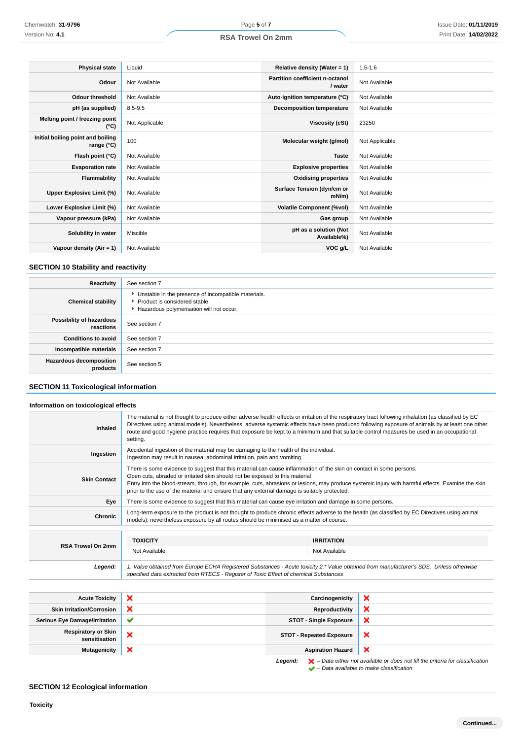| <b>Physical state</b>                           | Liquid         | Relative density (Water = 1)               | $1.5 - 1.6$    |
|-------------------------------------------------|----------------|--------------------------------------------|----------------|
| Odour                                           | Not Available  | Partition coefficient n-octanol<br>/ water | Not Available  |
| <b>Odour threshold</b>                          | Not Available  | Auto-ignition temperature (°C)             | Not Available  |
| pH (as supplied)                                | $8.5 - 9.5$    | <b>Decomposition temperature</b>           | Not Available  |
| Melting point / freezing point<br>(°C)          | Not Applicable | Viscosity (cSt)                            | 23250          |
| Initial boiling point and boiling<br>range (°C) | 100            | Molecular weight (g/mol)                   | Not Applicable |
| Flash point (°C)                                | Not Available  | <b>Taste</b>                               | Not Available  |
| <b>Evaporation rate</b>                         | Not Available  | <b>Explosive properties</b>                | Not Available  |
| Flammability                                    | Not Available  | <b>Oxidising properties</b>                | Not Available  |
| Upper Explosive Limit (%)                       | Not Available  | Surface Tension (dyn/cm or<br>mN/m)        | Not Available  |
| Lower Explosive Limit (%)                       | Not Available  | <b>Volatile Component (%vol)</b>           | Not Available  |
| Vapour pressure (kPa)                           | Not Available  | Gas group                                  | Not Available  |
| Solubility in water                             | Miscible       | pH as a solution (Not<br>Available%)       | Not Available  |
| Vapour density $(Air = 1)$                      | Not Available  | VOC g/L                                    | Not Available  |

## **SECTION 10 Stability and reactivity**

| Reactivity                                 | See section 7                                                                                                                        |
|--------------------------------------------|--------------------------------------------------------------------------------------------------------------------------------------|
| <b>Chemical stability</b>                  | • Unstable in the presence of incompatible materials.<br>▶ Product is considered stable.<br>Hazardous polymerisation will not occur. |
| Possibility of hazardous<br>reactions      | See section 7                                                                                                                        |
| <b>Conditions to avoid</b>                 | See section 7                                                                                                                        |
| Incompatible materials                     | See section 7                                                                                                                        |
| <b>Hazardous decomposition</b><br>products | See section 5                                                                                                                        |

## **SECTION 11 Toxicological information**

## **Information on toxicological effects**

| <b>Inhaled</b>           | The material is not thought to produce either adverse health effects or irritation of the respiratory tract following inhalation (as classified by EC<br>Directives using animal models). Nevertheless, adverse systemic effects have been produced following exposure of animals by at least one other<br>route and good hygiene practice requires that exposure be kept to a minimum and that suitable control measures be used in an occupational<br>setting. |                                    |
|--------------------------|------------------------------------------------------------------------------------------------------------------------------------------------------------------------------------------------------------------------------------------------------------------------------------------------------------------------------------------------------------------------------------------------------------------------------------------------------------------|------------------------------------|
| Ingestion                | Accidental ingestion of the material may be damaging to the health of the individual.<br>Ingestion may result in nausea, abdominal irritation, pain and vomiting                                                                                                                                                                                                                                                                                                 |                                    |
| <b>Skin Contact</b>      | There is some evidence to suggest that this material can cause inflammation of the skin on contact in some persons.<br>Open cuts, abraded or irritated skin should not be exposed to this material<br>Entry into the blood-stream, through, for example, cuts, abrasions or lesions, may produce systemic injury with harmful effects. Examine the skin<br>prior to the use of the material and ensure that any external damage is suitably protected.           |                                    |
| Eye                      | There is some evidence to suggest that this material can cause eye irritation and damage in some persons.                                                                                                                                                                                                                                                                                                                                                        |                                    |
| Chronic                  | Long-term exposure to the product is not thought to produce chronic effects adverse to the health (as classified by EC Directives using animal<br>models); nevertheless exposure by all routes should be minimised as a matter of course.                                                                                                                                                                                                                        |                                    |
| <b>RSA Trowel On 2mm</b> | <b>TOXICITY</b><br>Not Available                                                                                                                                                                                                                                                                                                                                                                                                                                 | <b>IRRITATION</b><br>Not Available |
| Legend:                  | 1. Value obtained from Europe ECHA Registered Substances - Acute toxicity 2.* Value obtained from manufacturer's SDS. Unless otherwise<br>specified data extracted from RTECS - Register of Toxic Effect of chemical Substances                                                                                                                                                                                                                                  |                                    |

| <b>Acute Toxicity</b>                       |              | Carcinogenicity                 | ж                                                                                                  |
|---------------------------------------------|--------------|---------------------------------|----------------------------------------------------------------------------------------------------|
| <b>Skin Irritation/Corrosion</b>            |              | Reproductivity                  | х                                                                                                  |
| <b>Serious Eye Damage/Irritation</b>        | $\checkmark$ | <b>STOT - Single Exposure</b>   | ×                                                                                                  |
| <b>Respiratory or Skin</b><br>sensitisation |              | <b>STOT - Repeated Exposure</b> | ×                                                                                                  |
| <b>Mutagenicity</b>                         | ×            | <b>Aspiration Hazard</b>        | ж                                                                                                  |
|                                             |              | Leaend:                         | $\blacktriangleright$ - Data either not available or does not fill the criteria for classification |

**Legend:**  $\mathbf{X}$  – Data either not available or does not fill the criteria for classification – Data available to make classification

## **SECTION 12 Ecological information**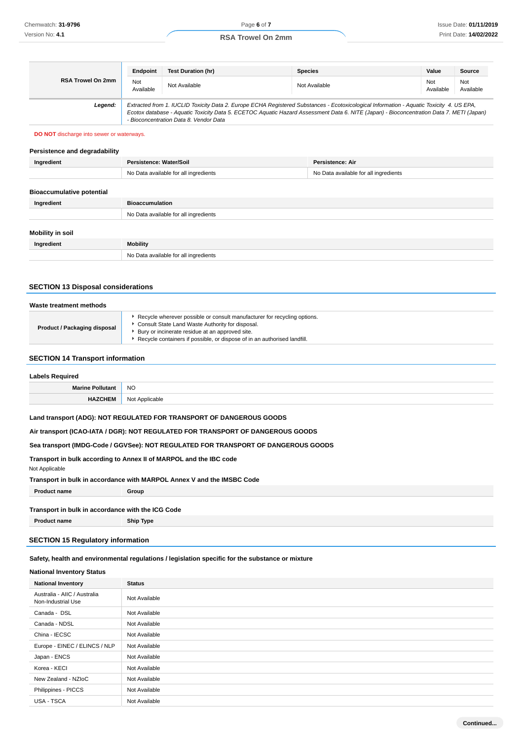|                   | Endpoint                                                                                                                                                                                                                                                                                                                       | <b>Test Duration (hr)</b> | <b>Species</b> | Value            | <b>Source</b>    |
|-------------------|--------------------------------------------------------------------------------------------------------------------------------------------------------------------------------------------------------------------------------------------------------------------------------------------------------------------------------|---------------------------|----------------|------------------|------------------|
| RSA Trowel On 2mm | Not<br>Available                                                                                                                                                                                                                                                                                                               | Not Available             | Not Available  | Not<br>Available | Not<br>Available |
| Legend:           | Extracted from 1. IUCLID Toxicity Data 2. Europe ECHA Registered Substances - Ecotoxicological Information - Aquatic Toxicity 4. US EPA,<br>Ecotox database - Aquatic Toxicity Data 5. ECETOC Aquatic Hazard Assessment Data 6. NITE (Japan) - Bioconcentration Data 7. METI (Japan)<br>- Bioconcentration Data 8. Vendor Data |                           |                |                  |                  |

#### **DO NOT** discharge into sewer or waterways.

## **Persistence and degradability**

| Ingredient                       | Persistence: Water/Soil               | Persistence: Air                      |
|----------------------------------|---------------------------------------|---------------------------------------|
|                                  | No Data available for all ingredients | No Data available for all ingredients |
|                                  |                                       |                                       |
| <b>Bioaccumulative potential</b> |                                       |                                       |
| Ingredient                       | <b>Bioaccumulation</b>                |                                       |
|                                  | No Data available for all ingredients |                                       |
|                                  |                                       |                                       |
| Mobility in soil                 |                                       |                                       |
| Ingredient                       | <b>Mobility</b>                       |                                       |
|                                  | No Data available for all ingredients |                                       |
|                                  |                                       |                                       |

## **SECTION 13 Disposal considerations**

| Waste treatment methods             |                                                                                                                                                                                                                                                             |  |
|-------------------------------------|-------------------------------------------------------------------------------------------------------------------------------------------------------------------------------------------------------------------------------------------------------------|--|
| <b>Product / Packaging disposal</b> | Recycle wherever possible or consult manufacturer for recycling options.<br>Consult State Land Waste Authority for disposal.<br>Bury or incinerate residue at an approved site.<br>Recycle containers if possible, or dispose of in an authorised landfill. |  |

#### **SECTION 14 Transport information**

| <b>Labels Required</b>  |                |
|-------------------------|----------------|
| <b>Marine Pollutant</b> | <b>NO</b>      |
|                         | Not<br>ucable. |

## **Land transport (ADG): NOT REGULATED FOR TRANSPORT OF DANGEROUS GOODS**

#### **Air transport (ICAO-IATA / DGR): NOT REGULATED FOR TRANSPORT OF DANGEROUS GOODS**

## **Sea transport (IMDG-Code / GGVSee): NOT REGULATED FOR TRANSPORT OF DANGEROUS GOODS**

#### **Transport in bulk according to Annex II of MARPOL and the IBC code**

| Not Applicable                                                         |
|------------------------------------------------------------------------|
| Transport in bulk in accordance with MARPOL Annex V and the IMSBC Code |

**Product name Group**

#### **Transport in bulk in accordance with the ICG Code**

**Product name Ship Type**

## **SECTION 15 Regulatory information**

## **Safety, health and environmental regulations / legislation specific for the substance or mixture**

## **National Inventory Status**

| <b>National Inventory</b>                          | <b>Status</b> |
|----------------------------------------------------|---------------|
| Australia - AIIC / Australia<br>Non-Industrial Use | Not Available |
| Canada - DSL                                       | Not Available |
| Canada - NDSL                                      | Not Available |
| China - IECSC                                      | Not Available |
| Europe - EINEC / ELINCS / NLP                      | Not Available |
| Japan - ENCS                                       | Not Available |
| Korea - KECI                                       | Not Available |
| New Zealand - NZIoC                                | Not Available |
| Philippines - PICCS                                | Not Available |
| USA - TSCA                                         | Not Available |